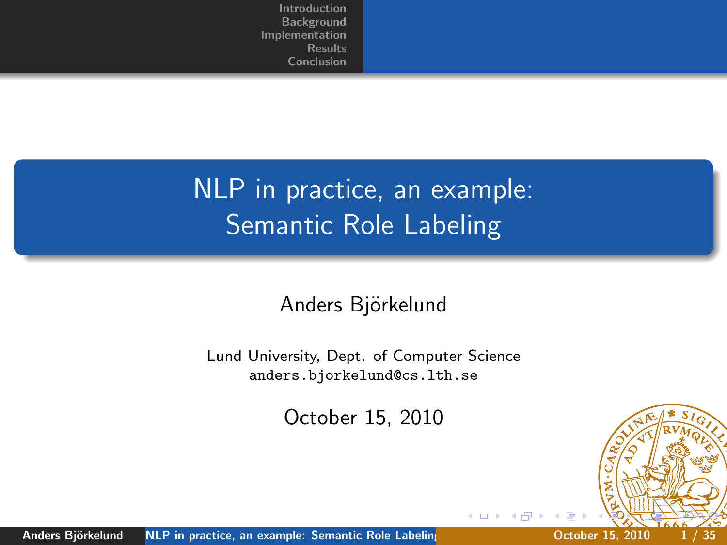# NLP in practice, an example: **Semantic Role Labeling**

#### Anders Björkelund

Lund University, Dept. of Computer Science anders.bjorkelund@cs.lth.se

October 15, 2010

<span id="page-0-0"></span>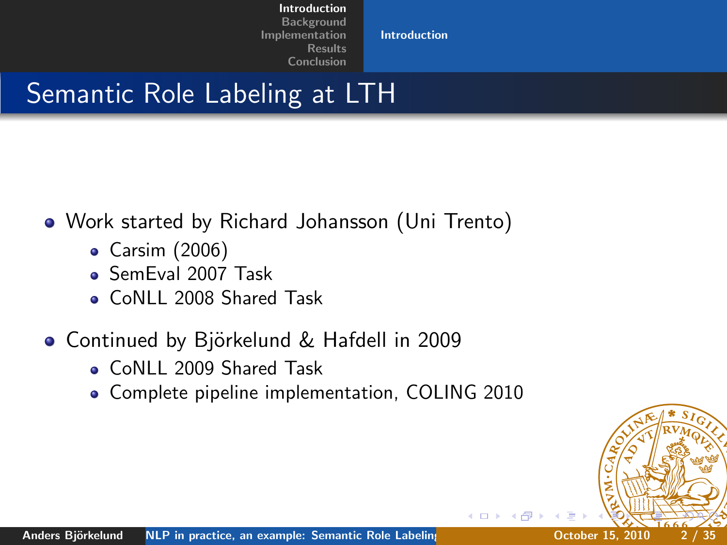<span id="page-1-0"></span>[Introduction](#page-1-0)

### Semantic Role Labeling at LTH

- Work started by Richard Johansson (Uni Trento)
	- Carsim (2006)
	- SemEval 2007 Task
	- CoNLL 2008 Shared Task
- Continued by Björkelund & Hafdell in 2009
	- CoNLL 2009 Shared Task
	- Complete pipeline implementation, COLING 2010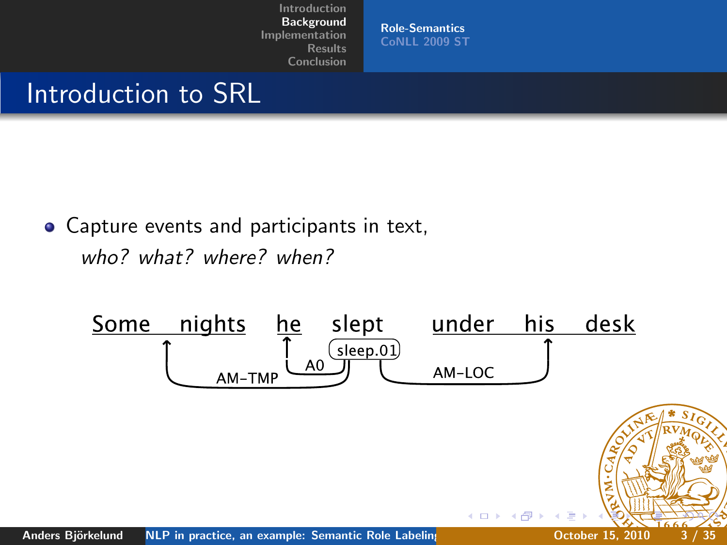<span id="page-2-0"></span>[Role-Semantics](#page-2-0) [CoNLL 2009 ST](#page-7-0)

### Introduction to SRL

Capture events and participants in text, who? what? where? when?

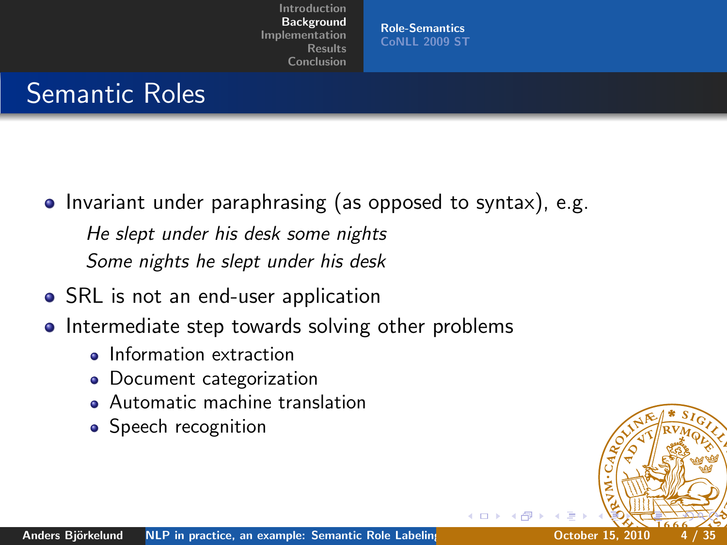[Role-Semantics](#page-2-0) [CoNLL 2009 ST](#page-7-0)

## Semantic Roles

• Invariant under paraphrasing (as opposed to syntax), e.g.

He slept under his desk some nights Some nights he slept under his desk

- SRL is not an end-user application
- Intermediate step towards solving other problems
	- **o** Information extraction
	- Document categorization
	- **Automatic machine translation**
	- Speech recognition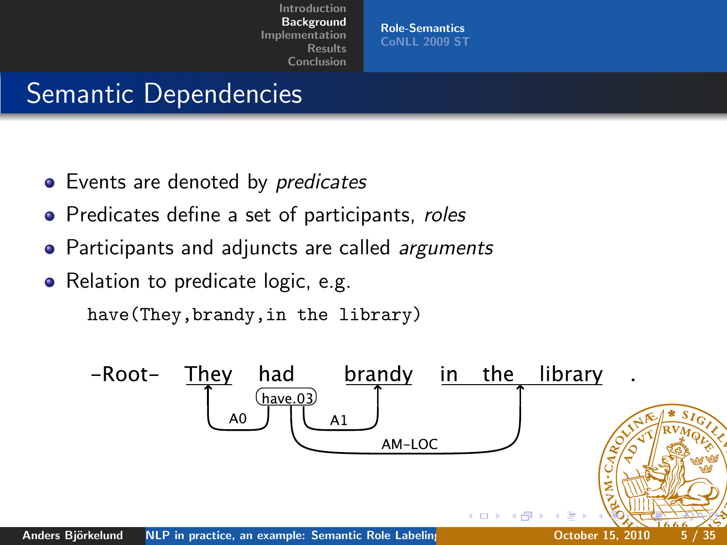[Role-Semantics](#page-2-0) [CoNLL 2009 ST](#page-7-0)

### Semantic Dependencies

- Events are denoted by *predicates*
- Predicates define a set of participants, roles
- Participants and adjuncts are called *arguments*
- Relation to predicate logic, e.g.

have(They,brandy,in the library)

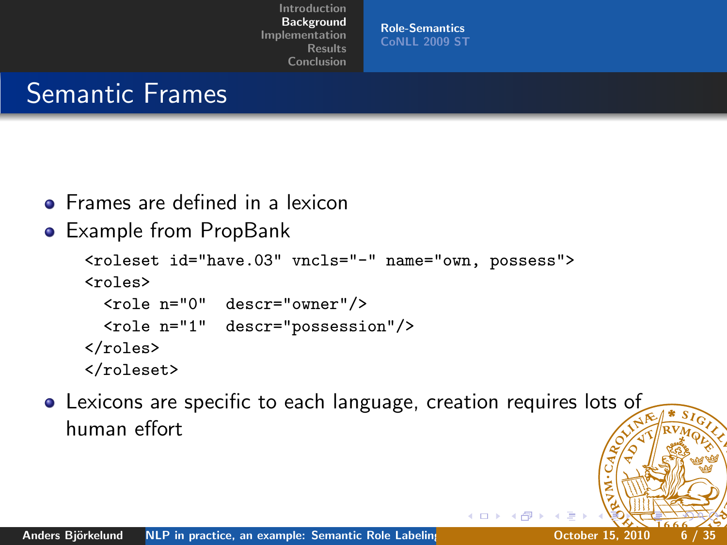[Role-Semantics](#page-2-0) [CoNLL 2009 ST](#page-7-0)

### Semantic Frames

- **•** Frames are defined in a lexicon
- Example from PropBank

```
<roleset id="have.03" vncls="-" name="own, possess">
<roles>
  <role n="0" descr="owner"/>
  <role n="1" descr="possession"/>
\langleroles\rangle</roleset>
```
Lexicons are specific to each language, creation requires lots of human effort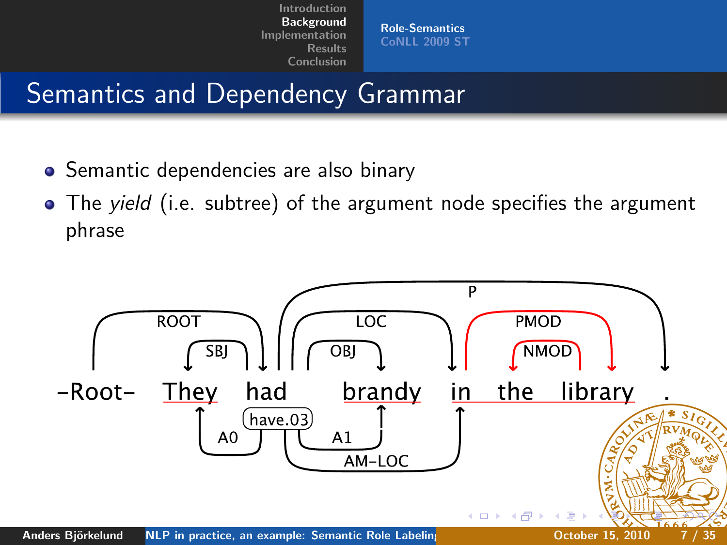[Role-Semantics](#page-2-0) [CoNLL 2009 ST](#page-7-0)

## Semantics and Dependency Grammar

- Semantic dependencies are also binary
- The yield (i.e. subtree) of the argument node specifies the argument phrase

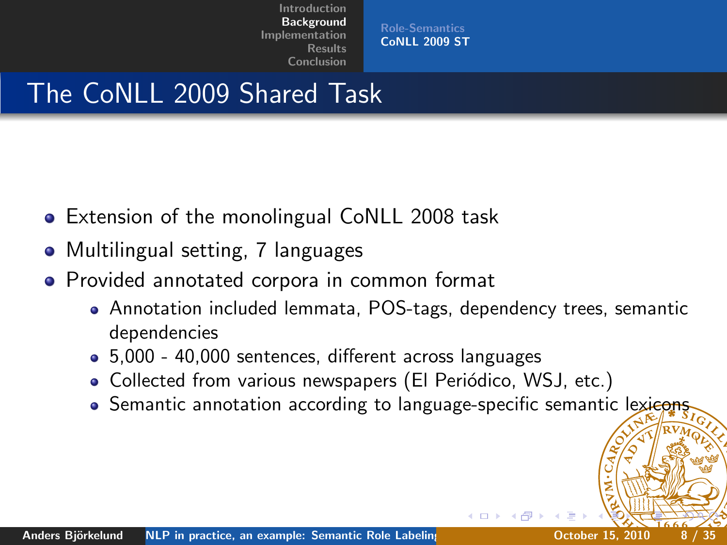<span id="page-7-0"></span>[Role-Semantics](#page-2-0) [CoNLL 2009 ST](#page-7-0)

## The CoNLL 2009 Shared Task

- **Extension of the monolingual CoNLL 2008 task**
- Multilingual setting, 7 languages
- **•** Provided annotated corpora in common format
	- Annotation included lemmata, POS-tags, dependency trees, semantic dependencies
	- 5,000 40,000 sentences, different across languages
	- Collected from various newspapers (El Periódico, WSJ, etc.)
	- **•** Semantic annotation according to language-specific semantic lexicons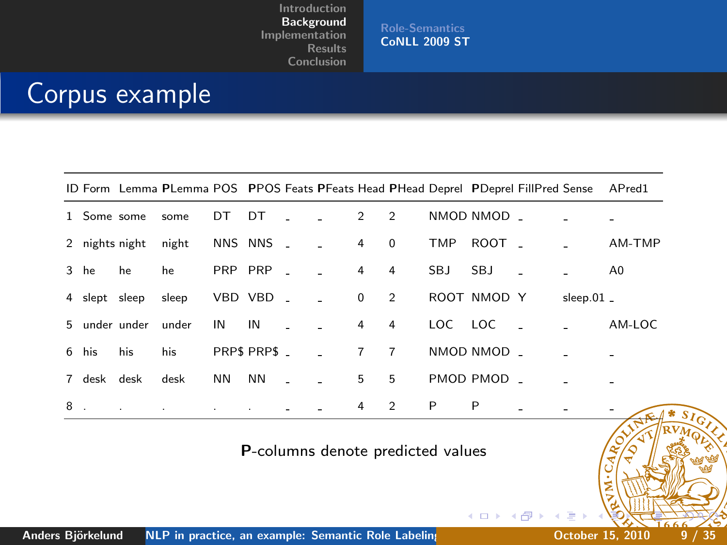[Role-Semantics](#page-2-0) [CoNLL 2009 ST](#page-7-0)

### Corpus example

|    |             |                     | ID Form Lemma PLemma POS PPOS Feats PFeats Head PHead Deprel PDeprel FillPred Sense APred1 |    |              |                          |                            |                         |                |         |             |               |              |              |
|----|-------------|---------------------|--------------------------------------------------------------------------------------------|----|--------------|--------------------------|----------------------------|-------------------------|----------------|---------|-------------|---------------|--------------|--------------|
|    | 1 Some some |                     | some                                                                                       | DT | DT           | $\sim$<br>$\sim 100$     | $\overline{\phantom{a}}$ 2 | $\overline{2}$          |                |         | NMOD NMOD - |               |              |              |
|    |             | 2 nights night      | night                                                                                      |    | NNS NNS -    | $\sim 100$               | $\overline{4}$             | $\overline{\mathbf{0}}$ |                | TMP     | ROOT .      |               |              | AM-TMP       |
|    | 3 he        | he                  | he                                                                                         |    | PRP PRP _    | $\sim$ $-$               | $\overline{4}$             |                         | $\overline{4}$ | SBJ.    | <b>SBJ</b>  |               |              | A0           |
|    |             | 4 slept sleep       | sleep                                                                                      |    | VBD VBD ____ |                          | $\overline{\phantom{0}}$   | $\overline{2}$          |                |         | ROOT NMOD Y |               | $sleep.01$ . |              |
|    |             | 5 under under under |                                                                                            | IN | IN           | <b>Contract Contract</b> | $\overline{4}$             |                         | $\overline{4}$ | LOC LOC |             | $\sim$ $\sim$ |              | AM-LOC       |
|    | 6 his       | his                 | his                                                                                        |    | PRPS PRPS _  | $\sim 10$                |                            | $7 \overline{7}$        |                |         | NMOD NMOD _ |               |              |              |
|    | 7 desk desk |                     | desk                                                                                       | NN | <b>NN</b>    | n.<br>$\sim 10$          |                            | 5                       | 5              |         | PMOD PMOD _ |               |              |              |
| 8. |             |                     | the control of the control of the control of the                                           |    |              |                          |                            | 4                       | $\overline{2}$ | P       | P           |               |              | and the con- |

P-columns denote predicted values

4 0 8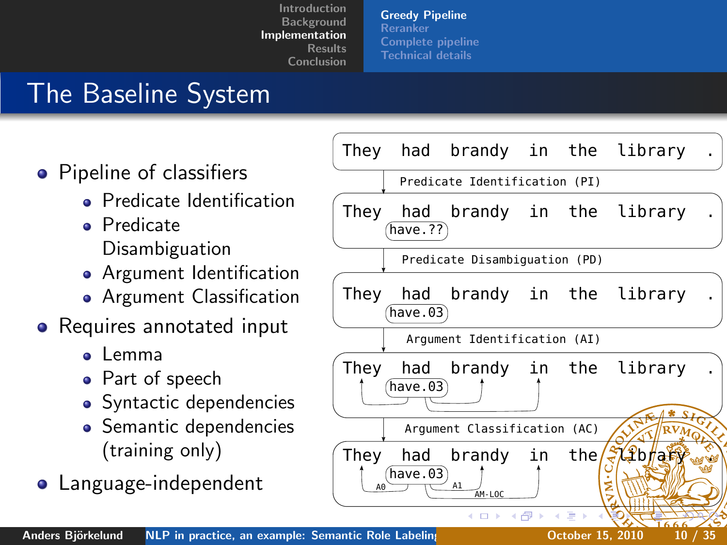[Greedy Pipeline](#page-9-0) [Reranker](#page-15-0) [Complete pipeline](#page-23-0) [Technical details](#page-25-0)

# The Baseline System

- Pipeline of classifiers
	- **•** Predicate Identification
	- **•** Predicate Disambiguation
	- **•** Argument Identification
	- **•** Argument Classification
- Requires annotated input
	- a Lemma
	- Part of speech
	- Syntactic dependencies
	- Semantic dependencies (training only)
- **•** Language-independent

<span id="page-9-0"></span>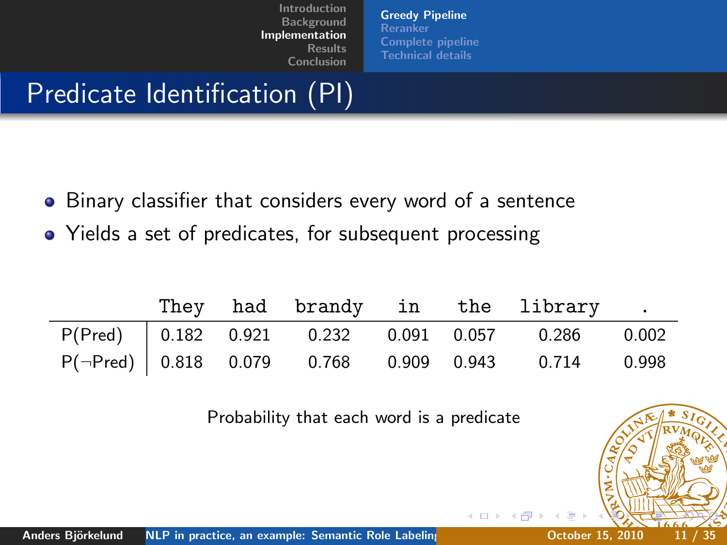[Greedy Pipeline](#page-9-0) [Reranker](#page-15-0) [Complete pipeline](#page-23-0) [Technical details](#page-25-0)

## Predicate Identification (PI)

- Binary classifier that considers every word of a sentence
- Yields a set of predicates, for subsequent processing

|  |  |  | They had brandy in the library.                          |  |
|--|--|--|----------------------------------------------------------|--|
|  |  |  | P(Pred) 0.182 0.921 0.232 0.091 0.057 0.286 0.002        |  |
|  |  |  | $P(\neg Pred)$ 0.818 0.079 0.768 0.909 0.943 0.714 0.998 |  |

Probability that each word is a predicate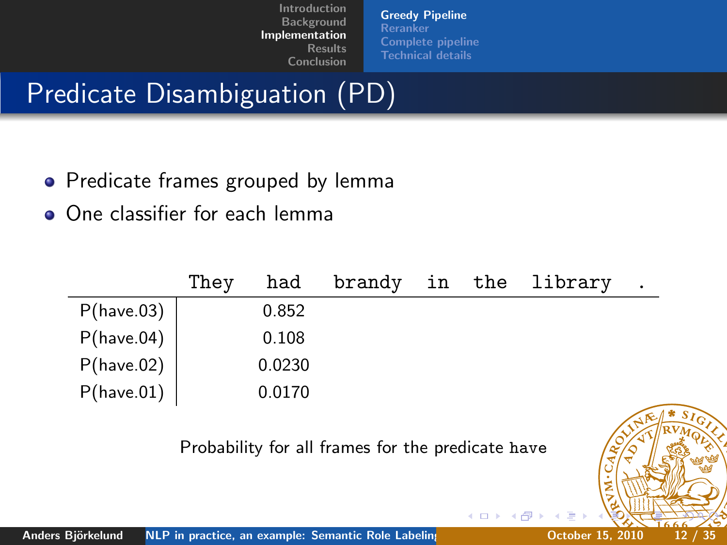[Greedy Pipeline](#page-9-0) [Reranker](#page-15-0) [Complete pipeline](#page-23-0) [Technical details](#page-25-0)

# Predicate Disambiguation (PD)

- Predicate frames grouped by lemma
- One classifier for each lemma

|            | They | had    | brandy in |  | the library | $\bullet$ |
|------------|------|--------|-----------|--|-------------|-----------|
| P(have.03) |      | 0.852  |           |  |             |           |
| P(have.04) |      | 0.108  |           |  |             |           |
| P(have.02) |      | 0.0230 |           |  |             |           |
| P(have.01) |      | 0.0170 |           |  |             |           |

Probability for all frames for the predicate have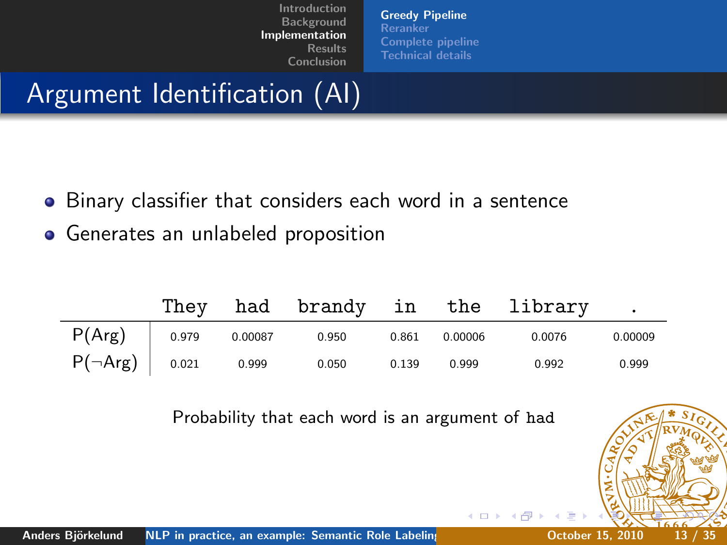[Greedy Pipeline](#page-9-0) [Reranker](#page-15-0) [Complete pipeline](#page-23-0) [Technical details](#page-25-0)

## Argument Identification (AI)

- **•** Binary classifier that considers each word in a sentence
- Generates an unlabeled proposition

|                            | Thev |         |       |       |         | had brandy in the library |         |
|----------------------------|------|---------|-------|-------|---------|---------------------------|---------|
| $P(Arg)$ $0.979$           |      | 0.00087 | 0.950 | 0.861 | 0.00006 | 0.0076                    | 0.00009 |
| $P(\neg \text{Arg})$ 0.021 |      | 0.999   | 0.050 | 0.139 | 0.999   | 0.992                     | 0.999   |

Probability that each word is an argument of had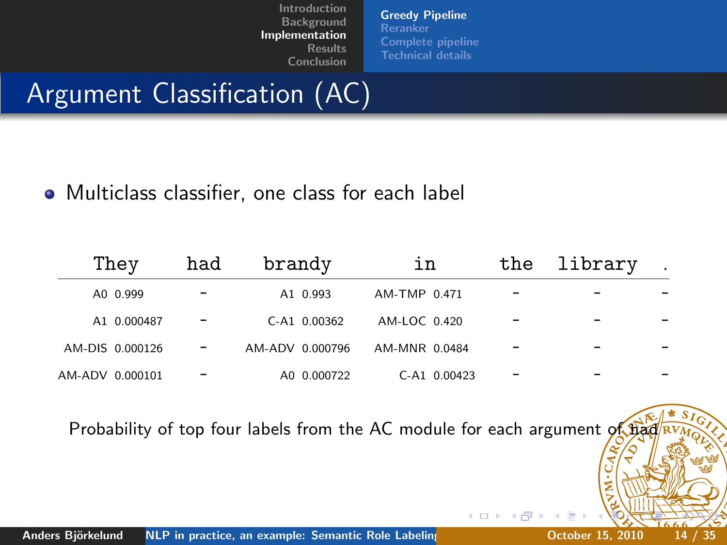[Greedy Pipeline](#page-9-0) [Reranker](#page-15-0) [Complete pipeline](#page-23-0) [Technical details](#page-25-0)

4日)

## Argument Classification (AC)

Multiclass classifier, one class for each label

| They            |             | had | brandy          |                | ın            |              | the | library |  |
|-----------------|-------------|-----|-----------------|----------------|---------------|--------------|-----|---------|--|
| A0 0.999        |             |     |                 | A1 0.993       | AM-TMP 0.471  |              |     |         |  |
|                 | A1 0.000487 |     |                 | $C-A1$ 0.00362 | AM-LOC 0.420  |              |     |         |  |
| AM-DIS 0.000126 |             |     | AM-ADV 0.000796 |                | AM-MNR 0.0484 |              |     |         |  |
| AM-ADV 0.000101 |             |     |                 | A0 0.000722    |               | C-A1 0.00423 |     |         |  |

Probability of top four labels from the AC module for each argument of  $\frac{1}{2}$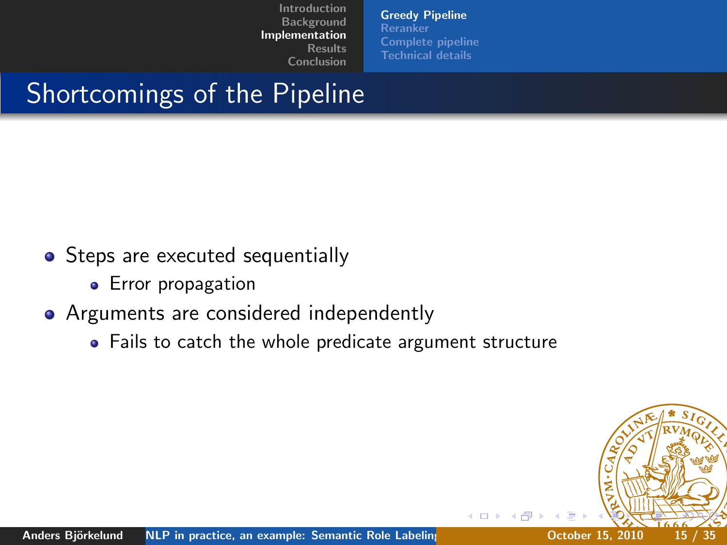[Greedy Pipeline](#page-9-0) [Reranker](#page-15-0) [Complete pipeline](#page-23-0) [Technical details](#page-25-0)

# Shortcomings of the Pipeline

- Steps are executed sequentially
	- **•** Error propagation

#### • Arguments are considered independently

Fails to catch the whole predicate argument structure

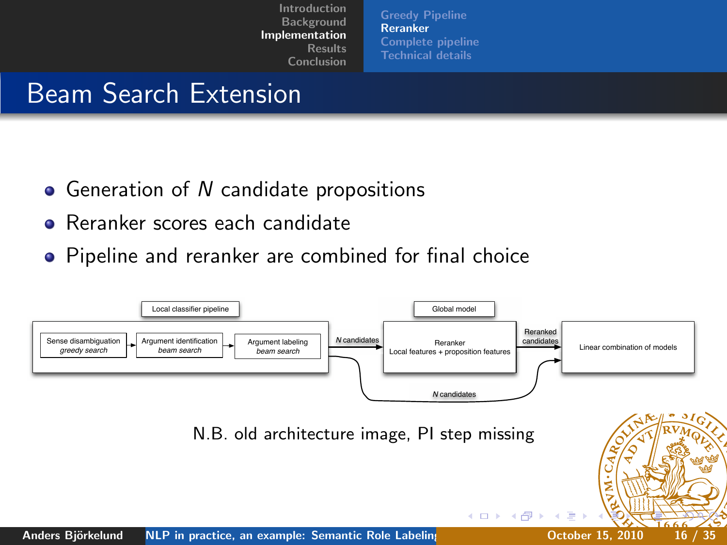<span id="page-15-0"></span>[Greedy Pipeline](#page-9-0) [Reranker](#page-15-0) [Complete pipeline](#page-23-0) [Technical details](#page-25-0)

## Beam Search Extension

- Generation of N candidate propositions
- Reranker scores each candidate
- **•** Pipeline and reranker are combined for final choice

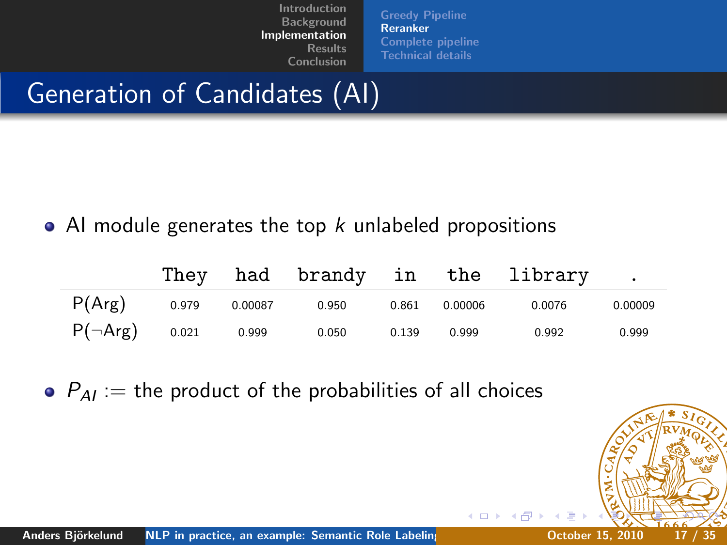[Greedy Pipeline](#page-9-0) [Reranker](#page-15-0) [Complete pipeline](#page-23-0) [Technical details](#page-25-0)

# Generation of Candidates (AI)

#### • AI module generates the top  $k$  unlabeled propositions

|                     |         |       |       |         | They had brandy in the library. |         |
|---------------------|---------|-------|-------|---------|---------------------------------|---------|
| $P(Arg)$ 0.979      | 0.00087 | 0.950 | 0.861 | 0.00006 | 0.0076                          | 0.00009 |
| $P(\neg Arg)$ 0.021 | 0.999   | 0.050 | 0.139 | 0.999   | 0.992                           | 0.999   |

 $\bullet$   $P_{AI}$  := the product of the probabilities of all choices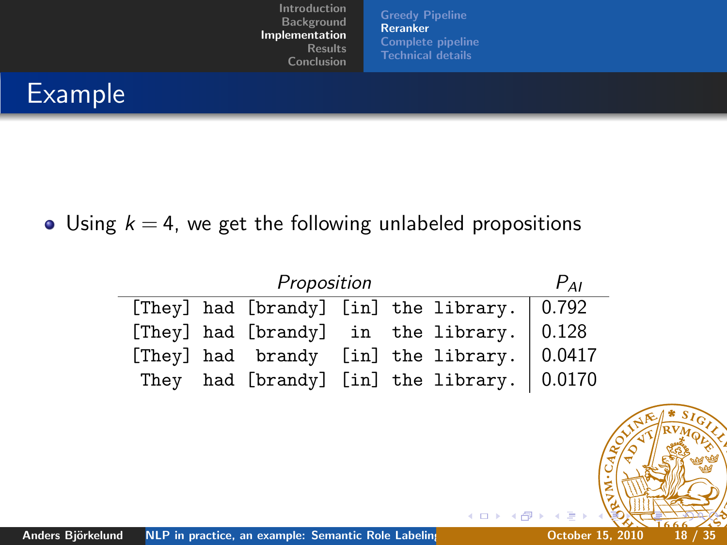Example

#### • Using  $k = 4$ , we get the following unlabeled propositions

| Proposition |  |  |  |                                                         |  |  |  |  |
|-------------|--|--|--|---------------------------------------------------------|--|--|--|--|
|             |  |  |  | [They] had [brandy] [in] the library. 0.792             |  |  |  |  |
|             |  |  |  | [They] had [brandy] in the library. $\vert 0.128 \vert$ |  |  |  |  |
|             |  |  |  | [They] had brandy [in] the library. $ 0.0417$           |  |  |  |  |
|             |  |  |  | They had [brandy] [in] the library. $ 0.0170$           |  |  |  |  |

[Greedy Pipeline](#page-9-0) [Reranker](#page-15-0) [Complete pipeline](#page-23-0) [Technical details](#page-25-0)

4 0 8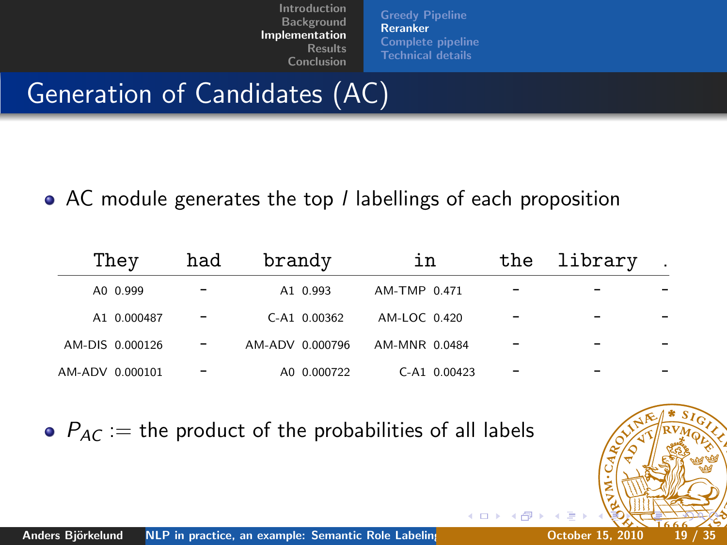[Greedy Pipeline](#page-9-0) [Reranker](#page-15-0) [Complete pipeline](#page-23-0) [Technical details](#page-25-0)

 $\leftarrow$ 

# Generation of Candidates (AC)

• AC module generates the top *I* labellings of each proposition

| They            | had | brandy          | ın            | the | library |  |
|-----------------|-----|-----------------|---------------|-----|---------|--|
| A0 0.999        |     | A1 0.993        | AM-TMP 0.471  |     |         |  |
| A1 0.000487     |     | $C-A1$ 0.00362  | AM-LOC 0.420  |     |         |  |
| AM-DIS 0.000126 |     | AM-ADV 0.000796 | AM-MNR 0.0484 |     |         |  |
| AM-ADV 0.000101 |     | A0 0.000722     | C-A1 0.00423  |     |         |  |

 $P_{AC}$  := the product of the probabilities of all labels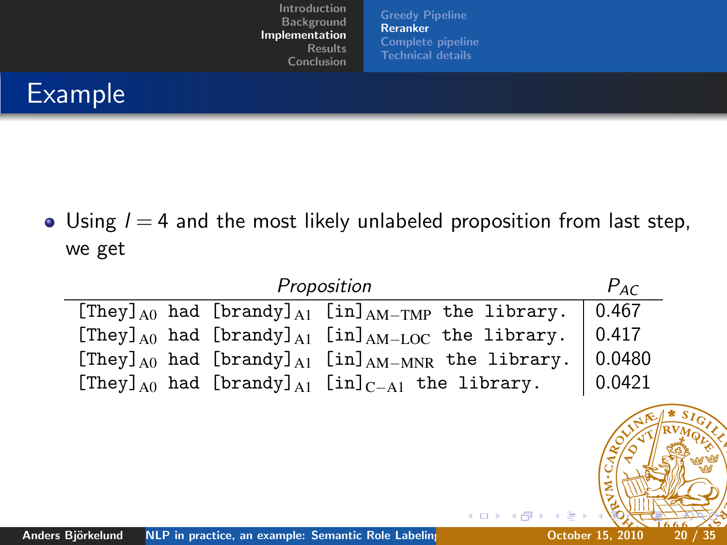[Greedy Pipeline](#page-9-0) [Reranker](#page-15-0) [Complete pipeline](#page-23-0) [Technical details](#page-25-0)

# Example

• Using  $l = 4$  and the most likely unlabeled proposition from last step, we get

| Proposition                                                                                                                                                   | $P_{AC}$  |
|---------------------------------------------------------------------------------------------------------------------------------------------------------------|-----------|
| [They] $_{A0}$ had [brandy] $_{A1}$ [in] $_{AM-TMP}$ the library.                                                                                             | 0.467     |
| [They] $_{A0}$ had [brandy] $_{A1}$ [in] $_{AM-LOC}$ the library.                                                                                             | 0.417     |
| [They] $_{A0}$ had [brandy] $_{A1}$ [in] $_{AM-MNR}$ the library.                                                                                             | 0.0480    |
| [They] $_{A0}$ had [brandy] $_{A1}$ [in] $_{C-A1}$ the library.                                                                                               | 0.0421    |
| <b>K ロ ▶ K 何 ▶ K 급</b><br><b>ALL DO TO</b><br>the contract of the contract of the contract of the contract of the contract of the contract of the contract of | 0.1170010 |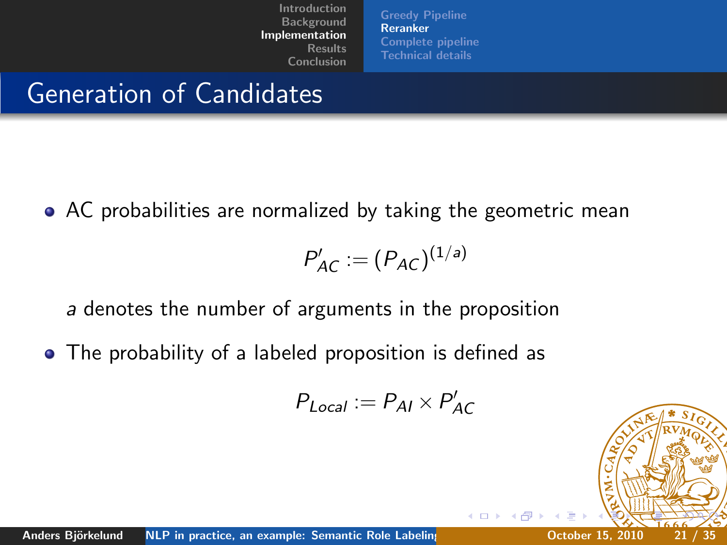[Greedy Pipeline](#page-9-0) [Reranker](#page-15-0) [Complete pipeline](#page-23-0) [Technical details](#page-25-0)

## Generation of Candidates

AC probabilities are normalized by taking the geometric mean

$$
P'_{AC} := (P_{AC})^{(1/a)}
$$

a denotes the number of arguments in the proposition

• The probability of a labeled proposition is defined as

$$
P_{Local} := P_{AI} \times P'_{AC}
$$

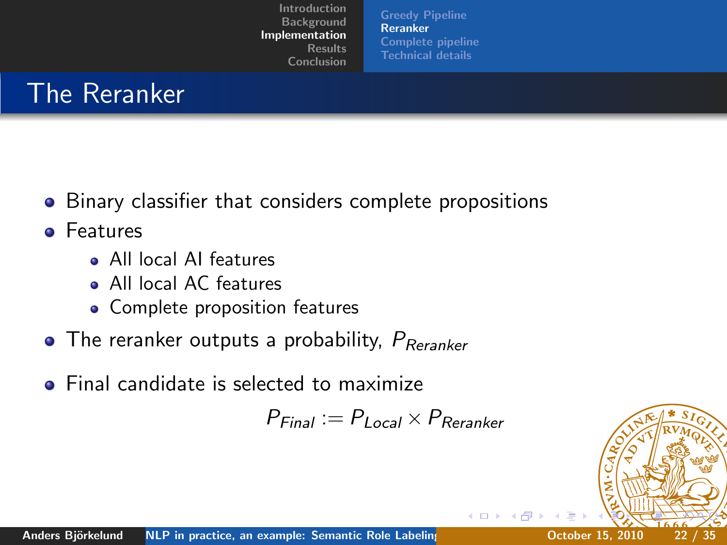[Greedy Pipeline](#page-9-0) [Reranker](#page-15-0) [Complete pipeline](#page-23-0) [Technical details](#page-25-0)

## The Reranker

- Binary classifier that considers complete propositions
- **o** Features
	- All local AI features
	- All local AC features
	- Complete proposition features
- $\bullet$  The reranker outputs a probability,  $P_{Rernker}$
- **•** Final candidate is selected to maximize

$$
P_{Final} := P_{Local} \times P_{Rernker}
$$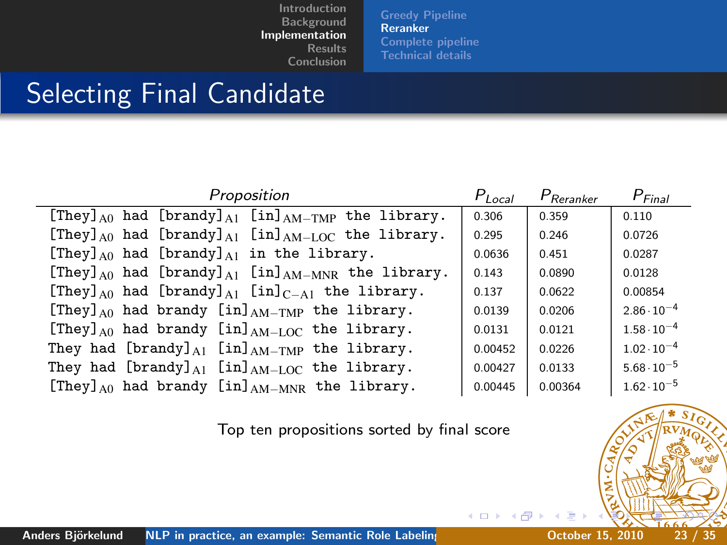[Greedy Pipeline](#page-9-0) [Reranker](#page-15-0) [Complete pipeline](#page-23-0) [Technical details](#page-25-0)

### Selecting Final Candidate

| Proposition                                                                         | $P_{Local}$ | $P_{\text{Reranker}}$ | $P_{Final}$          |
|-------------------------------------------------------------------------------------|-------------|-----------------------|----------------------|
| [They] $_{A0}$ had [brandy] $_{A1}$ [in] $_{AM-TMP}$ the library.                   | 0.306       | 0.359                 | 0.110                |
| [They] <sub>A0</sub> had [brandy] <sub>A1</sub> [in] <sub>AM-LOC</sub> the library. | 0.295       | 0.246                 | 0.0726               |
| [They] $_{A0}$ had [brandy] $_{A1}$ in the library.                                 | 0.0636      | 0.451                 | 0.0287               |
| [They] $_{A0}$ had [brandy] $_{A1}$ [in] $_{AM-MNR}$ the library.                   | 0.143       | 0.0890                | 0.0128               |
| [They] <sub>A0</sub> had [brandy] <sub>A1</sub> [in] <sub>C-A1</sub> the library.   | 0.137       | 0.0622                | 0.00854              |
| [They] $_{A0}$ had brandy [in] $_{AM-TMP}$ the library.                             | 0.0139      | 0.0206                | $2.86 \cdot 10^{-4}$ |
| [They] $_{A0}$ had brandy [in] $_{AM-LOC}$ the library.                             | 0.0131      | 0.0121                | $1.58 \cdot 10^{-4}$ |
| They had [brandy] $_{A1}$ [in] $_{AM-TMP}$ the library.                             | 0.00452     | 0.0226                | $1.02 \cdot 10^{-4}$ |
| They had $[brandy]_{A1}$ $[in]_{AM-LOC}$ the library.                               | 0.00427     | 0.0133                | $5.68 \cdot 10^{-5}$ |
| [They] $_{A0}$ had brandy [in] $_{AM-MNR}$ the library.                             | 0.00445     | 0.00364               | $1.62 \cdot 10^{-5}$ |

Top ten propositions sorted by final score

4日)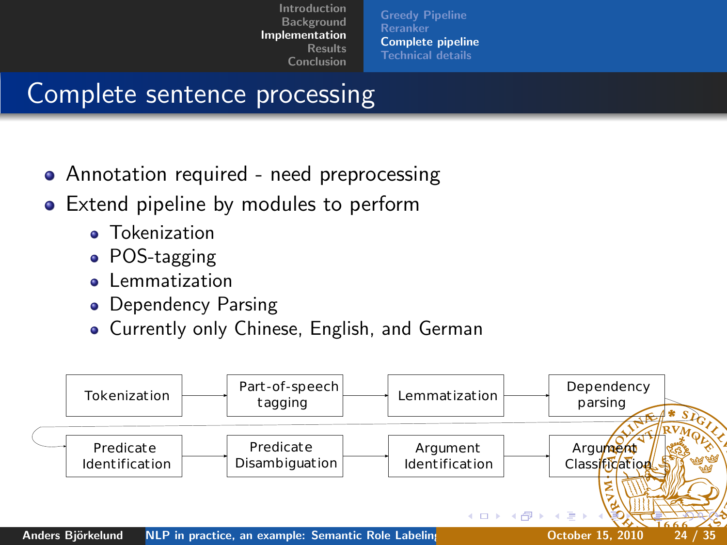<span id="page-23-0"></span>[Greedy Pipeline](#page-9-0) [Reranker](#page-15-0) [Complete pipeline](#page-23-0) [Technical details](#page-25-0)

## Complete sentence processing

- Annotation required need preprocessing
- Extend pipeline by modules to perform
	- **•** Tokenization
	- POS-tagging
	- **•** Lemmatization
	- Dependency Parsing
	- Currently only Chinese, English, and German

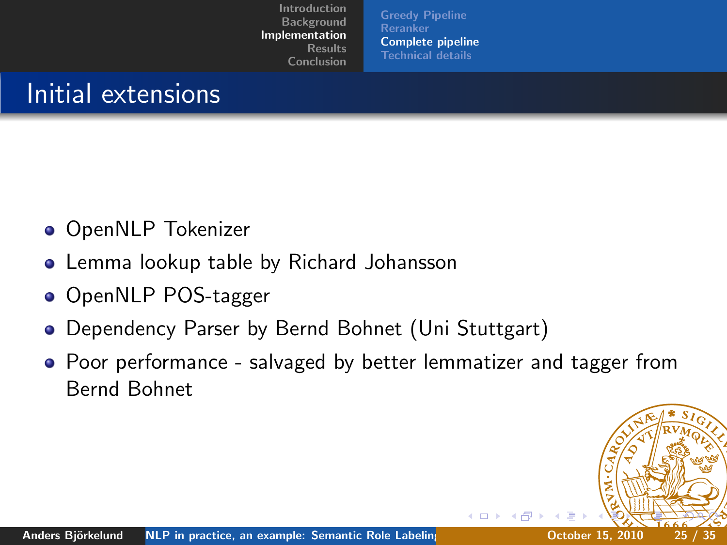[Greedy Pipeline](#page-9-0) [Reranker](#page-15-0) [Complete pipeline](#page-23-0) [Technical details](#page-25-0)

## Initial extensions

- **OpenNLP Tokenizer**
- Lemma lookup table by Richard Johansson
- OpenNLP POS-tagger
- Dependency Parser by Bernd Bohnet (Uni Stuttgart)
- Poor performance salvaged by better lemmatizer and tagger from Bernd Bohnet

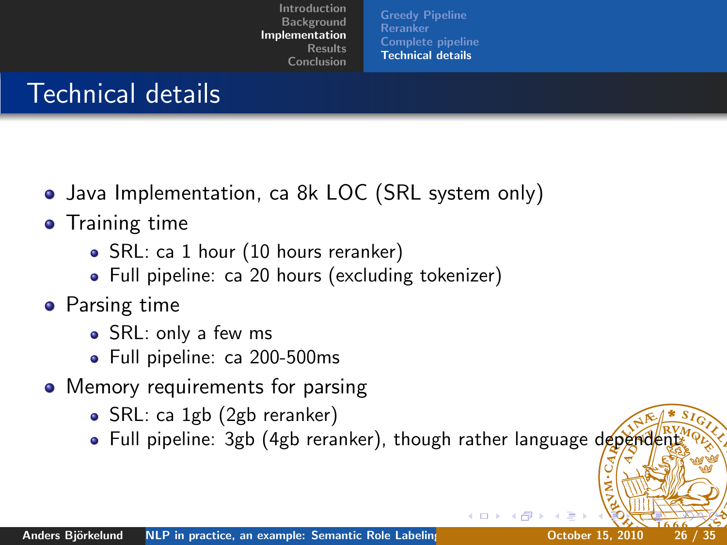<span id="page-25-0"></span>[Greedy Pipeline](#page-9-0) [Reranker](#page-15-0) [Complete pipeline](#page-23-0) [Technical details](#page-25-0)

## Technical details

- Java Implementation, ca 8k LOC (SRL system only)
- **•** Training time
	- SRL: ca 1 hour (10 hours reranker)
	- Full pipeline: ca 20 hours (excluding tokenizer)
- Parsing time
	- SRL: only a few ms
	- Full pipeline: ca 200-500ms
- Memory requirements for parsing
	- SRL: ca 1gb (2gb reranker)
	- Full pipeline: 3gb (4gb reranker), though rather language dependent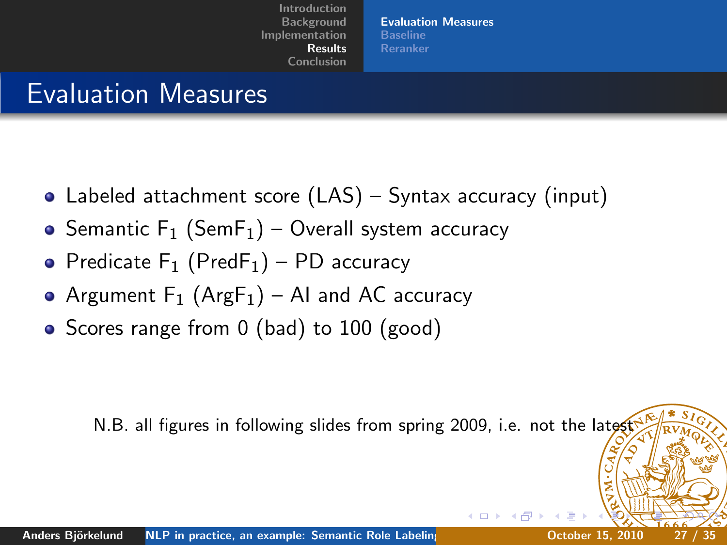<span id="page-26-0"></span>[Evaluation Measures](#page-26-0) [Baseline](#page-27-0) [Reranker](#page-28-0)

### Evaluation Measures

- Labeled attachment score (LAS) Syntax accuracy (input)
- Semantic  $F_1$  (Sem $F_1$ ) Overall system accuracy
- Predicate  $F_1$  (Pred $F_1$ ) PD accuracy
- Argument  $F_1$  (Arg $F_1$ ) AI and AC accuracy
- Scores range from 0 (bad) to 100 (good)

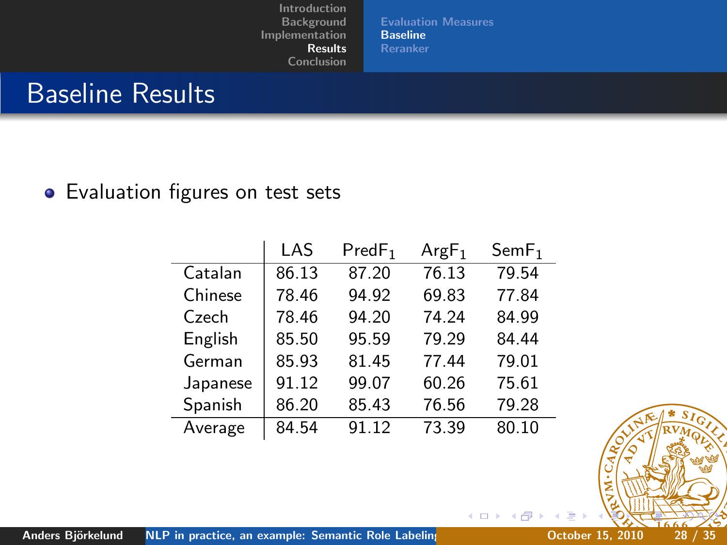[Evaluation Measures](#page-26-0) [Baseline](#page-27-0) [Reranker](#page-28-0)

> 4 0 8  $\sim$  40

### Baseline Results

#### • Evaluation figures on test sets

|          | LAS   | PredF <sub>1</sub> | $ArgF_1$ | SemF <sub>1</sub> |
|----------|-------|--------------------|----------|-------------------|
| Catalan  | 86.13 | 87.20              | 76.13    | 79.54             |
| Chinese  | 78.46 | 94.92              | 69.83    | 77.84             |
| Czech    | 78.46 | 94.20              | 74.24    | 84.99             |
| English  | 85.50 | 95.59              | 79.29    | 84.44             |
| German   | 85.93 | 81.45              | 77.44    | 79.01             |
| Japanese | 91.12 | 99.07              | 60.26    | 75.61             |
| Spanish  | 86.20 | 85.43              | 76.56    | 79.28             |
| Average  | 84.54 | 91.12              | 73.39    | 80.10             |

<span id="page-27-0"></span>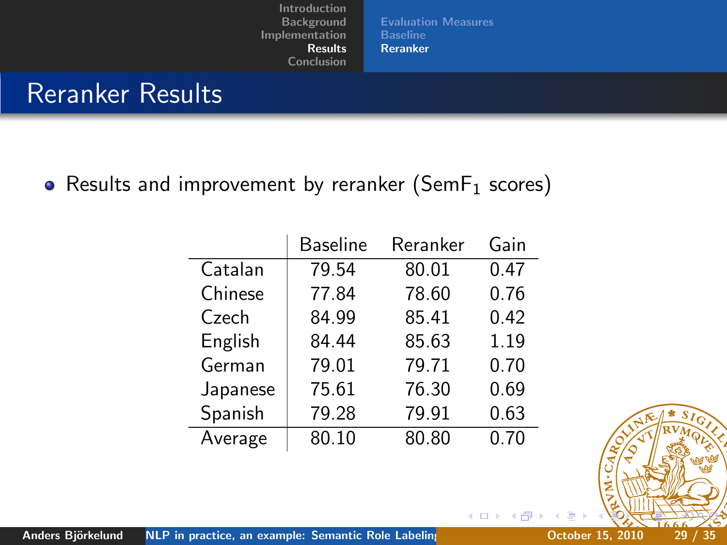[Evaluation Measures](#page-26-0) **[Baseline](#page-27-0)** [Reranker](#page-28-0)

4 0 8

### Reranker Results

• Results and improvement by reranker (Sem $F_1$  scores)

|          | <b>Baseline</b> | Reranker | Gain |
|----------|-----------------|----------|------|
| Catalan  | 79.54           | 80.01    | 0.47 |
| Chinese  | 77.84           | 78.60    | 0.76 |
| Czech    | 84.99           | 85.41    | 0.42 |
| English  | 84.44           | 85.63    | 1.19 |
| German   | 79.01           | 79.71    | 0.70 |
| Japanese | 75.61           | 76.30    | 0.69 |
| Spanish  | 79.28           | 79.91    | 0.63 |
| Average  | 80.10           | 80.80    | 0.70 |

<span id="page-28-0"></span>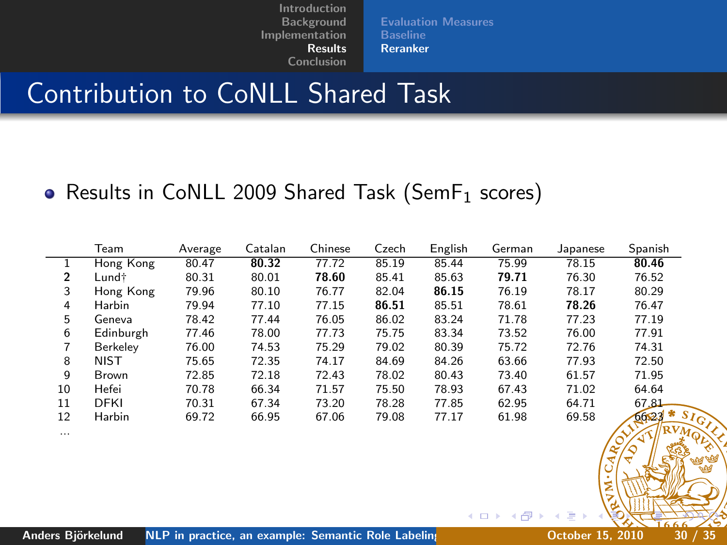[Evaluation Measures](#page-26-0) **[Baseline](#page-27-0)** [Reranker](#page-28-0)

### Contribution to CoNLL Shared Task

#### • Results in CoNLL 2009 Shared Task (Sem $F_1$  scores)

|    | Team          | Average | Catalan | Chinese | Czech | English | German | Japanese | Spanish        |
|----|---------------|---------|---------|---------|-------|---------|--------|----------|----------------|
|    | Hong Kong     | 80.47   | 80.32   | 77.72   | 85.19 | 85.44   | 75.99  | 78.15    | 80.46          |
| 2  | Lund†         | 80.31   | 80.01   | 78.60   | 85.41 | 85.63   | 79.71  | 76.30    | 76.52          |
| 3  | Hong Kong     | 79.96   | 80.10   | 76.77   | 82.04 | 86.15   | 76.19  | 78.17    | 80.29          |
| 4  | Harbin        | 79.94   | 77.10   | 77.15   | 86.51 | 85.51   | 78.61  | 78.26    | 76.47          |
| 5. | Geneva        | 78.42   | 77.44   | 76.05   | 86.02 | 83.24   | 71.78  | 77.23    | 77.19          |
| 6  | Edinburgh     | 77.46   | 78.00   | 77.73   | 75.75 | 83.34   | 73.52  | 76.00    | 77.91          |
|    | Berkelev      | 76.00   | 74.53   | 75.29   | 79.02 | 80.39   | 75.72  | 72.76    | 74.31          |
| 8  | <b>NIST</b>   | 75.65   | 72.35   | 74.17   | 84.69 | 84.26   | 63.66  | 77.93    | 72.50          |
| q  | Brown         | 72.85   | 72.18   | 72.43   | 78.02 | 80.43   | 73.40  | 61.57    | 71.95          |
| 10 | Hefei         | 70.78   | 66.34   | 71.57   | 75.50 | 78.93   | 67.43  | 71.02    | 64.64          |
| 11 | <b>DFKI</b>   | 70.31   | 67.34   | 73.20   | 78.28 | 77.85   | 62.95  | 64.71    | 67.81          |
| 12 | <b>Harbin</b> | 69.72   | 66.95   | 67.06   | 79.08 | 77.17   | 61.98  | 69.58    | $* s$<br>66,23 |

...

J.

4日 8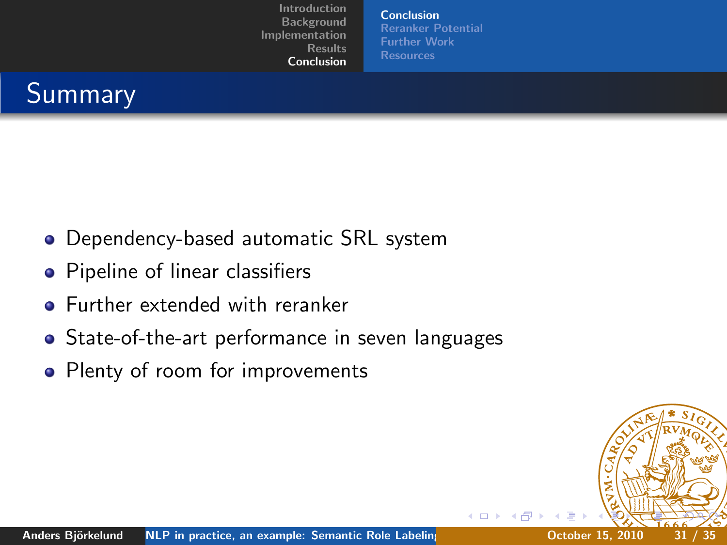<span id="page-30-0"></span>[Conclusion](#page-30-0) [Reranker Potential](#page-31-0) [Further Work](#page-32-0)



- Dependency-based automatic SRL system
- Pipeline of linear classifiers
- **•** Further extended with reranker
- State-of-the-art performance in seven languages
- Plenty of room for improvements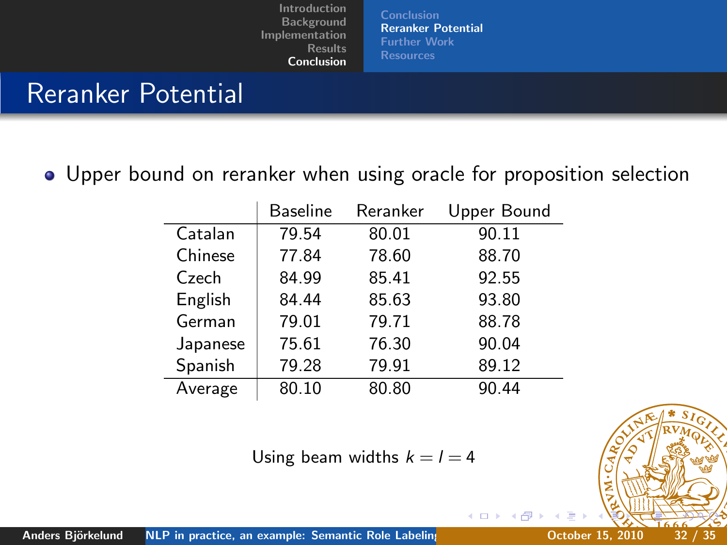[Conclusion](#page-30-0) [Reranker Potential](#page-31-0) [Further Work](#page-32-0)

### Reranker Potential

Upper bound on reranker when using oracle for proposition selection

|          | <b>Baseline</b> | Reranker | Upper Bound |
|----------|-----------------|----------|-------------|
| Catalan  | 79.54           | 80.01    | 90.11       |
| Chinese  | 77.84           | 78.60    | 88.70       |
| Czech    | 84.99           | 85.41    | 92.55       |
| English  | 84.44           | 85.63    | 93.80       |
| German   | 79.01           | 79.71    | 88.78       |
| Japanese | 75.61           | 76.30    | 90.04       |
| Spanish  | 79.28           | 79.91    | 89.12       |
| Average  | 80.10           | 80.80    | 90.44       |

Using beam widths  $k = l = 4$ 

<span id="page-31-0"></span>

4日 8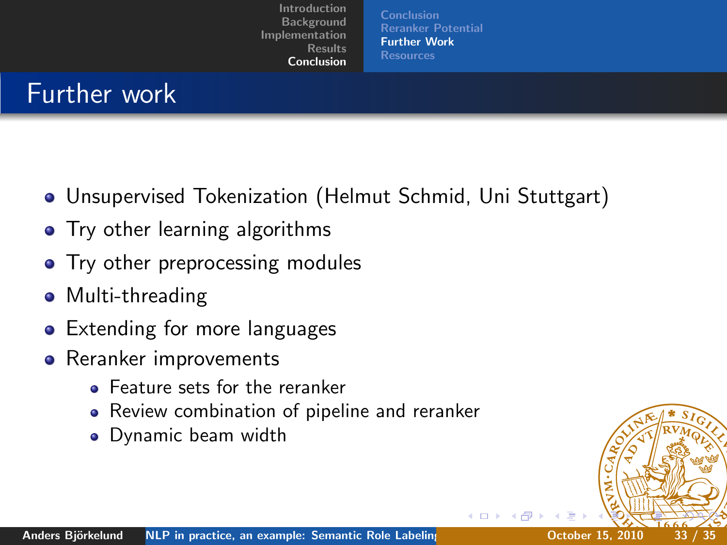<span id="page-32-0"></span>[Conclusion](#page-30-0) [Reranker Potential](#page-31-0) [Further Work](#page-32-0) [Resources](#page-33-0)

### Further work

- Unsupervised Tokenization (Helmut Schmid, Uni Stuttgart)
- Try other learning algorithms
- Try other preprocessing modules
- Multi-threading
- Extending for more languages
- Reranker improvements
	- **•** Feature sets for the reranker
	- Review combination of pipeline and reranker
	- Dynamic beam width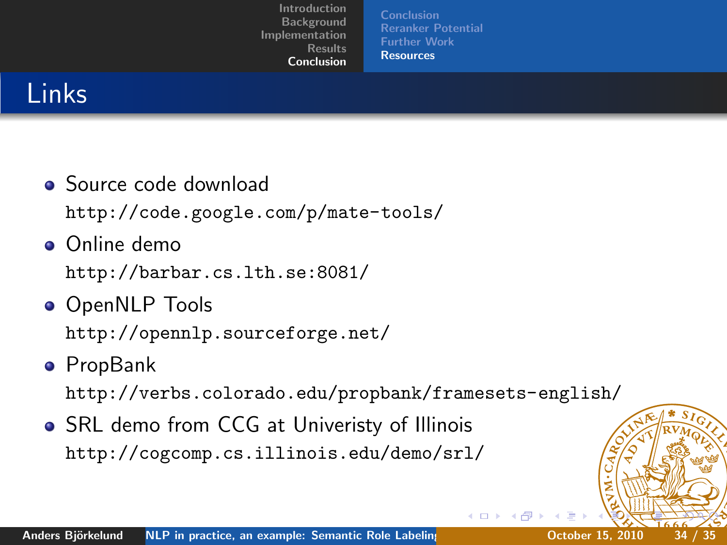<span id="page-33-0"></span>[Conclusion](#page-30-0) [Reranker Potential](#page-31-0) [Further Work](#page-32-0) [Resources](#page-33-0)

## Links

- Source code download <http://code.google.com/p/mate-tools/>
- **o** Online demo

<http://barbar.cs.lth.se:8081/>

- **OpenNLP Tools** <http://opennlp.sourceforge.net/>
- **•** PropBank

<http://verbs.colorado.edu/propbank/framesets-english/>

**• SRL demo from CCG at Univeristy of Illinois** <http://cogcomp.cs.illinois.edu/demo/srl/>